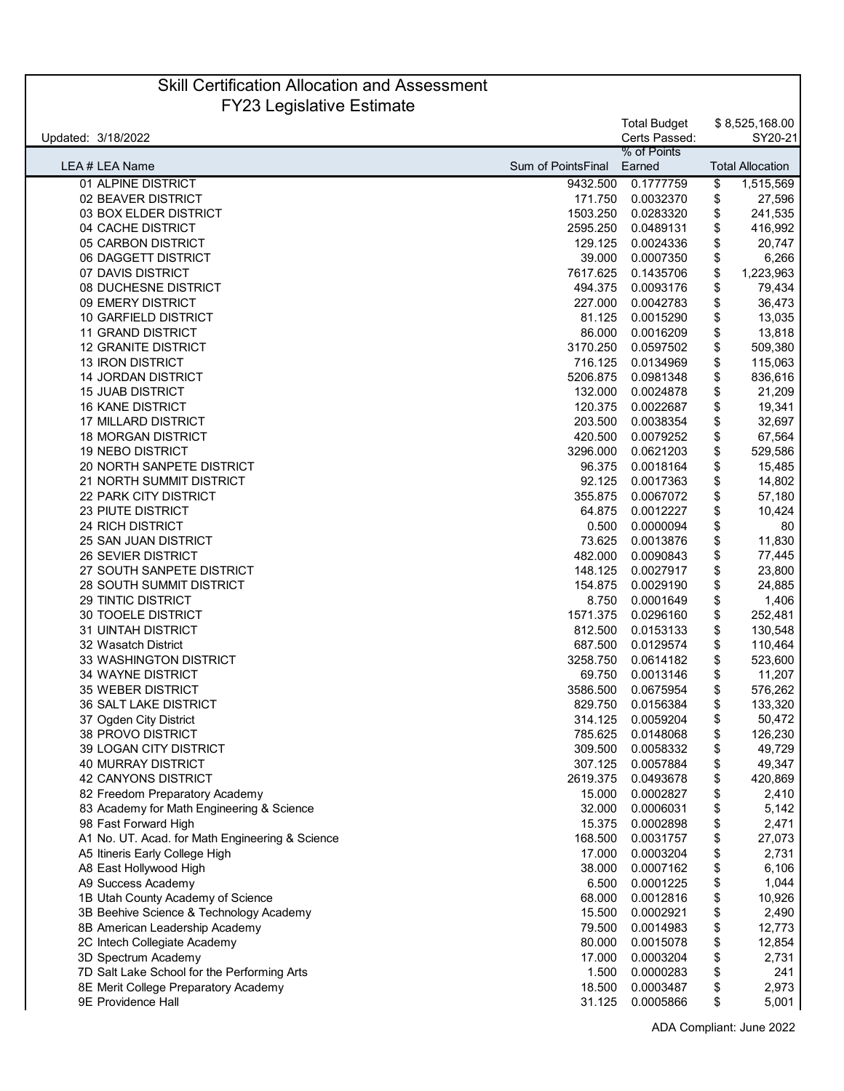## Skill Certification Allocation and Assessment FY23 Legislative Estimate

| Updated: 3/18/2022                              |                           | <b>Total Budget</b><br>Certs Passed: | \$8,525,168.00<br>SY20-21 |
|-------------------------------------------------|---------------------------|--------------------------------------|---------------------------|
|                                                 |                           | % of Points                          |                           |
| LEA # LEA Name                                  | <b>Sum of PointsFinal</b> | Earned                               | <b>Total Allocation</b>   |
| 01 ALPINE DISTRICT                              | 9432.500                  | 0.1777759                            | \$<br>1,515,569           |
| 02 BEAVER DISTRICT                              | 171.750                   | 0.0032370                            | \$<br>27,596              |
| 03 BOX ELDER DISTRICT                           | 1503.250                  | 0.0283320                            | \$<br>241,535             |
| 04 CACHE DISTRICT                               | 2595.250                  | 0.0489131                            | \$<br>416,992             |
| 05 CARBON DISTRICT                              | 129.125                   | 0.0024336                            | 20,747                    |
| 06 DAGGETT DISTRICT                             | 39.000                    |                                      | \$                        |
|                                                 |                           | 0.0007350                            | \$<br>6,266               |
| 07 DAVIS DISTRICT                               | 7617.625                  | 0.1435706                            | \$<br>1,223,963           |
| 08 DUCHESNE DISTRICT                            | 494.375                   | 0.0093176                            | \$<br>79,434              |
| 09 EMERY DISTRICT                               | 227.000                   | 0.0042783                            | \$<br>36,473              |
| 10 GARFIELD DISTRICT                            | 81.125                    | 0.0015290                            | \$<br>13,035              |
| <b>11 GRAND DISTRICT</b>                        | 86.000                    | 0.0016209                            | \$<br>13,818              |
| <b>12 GRANITE DISTRICT</b>                      | 3170.250                  | 0.0597502                            | \$<br>509,380             |
| <b>13 IRON DISTRICT</b>                         | 716.125                   | 0.0134969                            | \$<br>115,063             |
| <b>14 JORDAN DISTRICT</b>                       | 5206.875                  | 0.0981348                            | \$<br>836,616             |
| <b>15 JUAB DISTRICT</b>                         | 132.000                   | 0.0024878                            | \$<br>21,209              |
| <b>16 KANE DISTRICT</b>                         | 120.375                   | 0.0022687                            | \$<br>19,341              |
| 17 MILLARD DISTRICT                             | 203.500                   | 0.0038354                            | \$<br>32,697              |
| <b>18 MORGAN DISTRICT</b>                       | 420.500                   | 0.0079252                            | \$<br>67,564              |
| <b>19 NEBO DISTRICT</b>                         | 3296.000                  | 0.0621203                            | \$<br>529,586             |
| 20 NORTH SANPETE DISTRICT                       | 96.375                    | 0.0018164                            | \$<br>15,485              |
| 21 NORTH SUMMIT DISTRICT                        | 92.125                    | 0.0017363                            | \$<br>14,802              |
| <b>22 PARK CITY DISTRICT</b>                    | 355.875                   | 0.0067072                            | \$<br>57,180              |
| <b>23 PIUTE DISTRICT</b>                        | 64.875                    | 0.0012227                            | \$<br>10,424              |
| 24 RICH DISTRICT                                | 0.500                     | 0.0000094                            | \$<br>80                  |
| 25 SAN JUAN DISTRICT                            | 73.625                    | 0.0013876                            | \$<br>11,830              |
| <b>26 SEVIER DISTRICT</b>                       | 482.000                   |                                      |                           |
|                                                 |                           | 0.0090843                            | \$<br>77,445              |
| 27 SOUTH SANPETE DISTRICT                       | 148.125                   | 0.0027917                            | \$<br>23,800              |
| <b>28 SOUTH SUMMIT DISTRICT</b>                 | 154.875                   | 0.0029190                            | \$<br>24,885              |
| 29 TINTIC DISTRICT                              | 8.750                     | 0.0001649                            | \$<br>1,406               |
| <b>30 TOOELE DISTRICT</b>                       | 1571.375                  | 0.0296160                            | \$<br>252,481             |
| <b>31 UINTAH DISTRICT</b>                       | 812.500                   | 0.0153133                            | \$<br>130,548             |
| 32 Wasatch District                             | 687.500                   | 0.0129574                            | \$<br>110,464             |
| <b>33 WASHINGTON DISTRICT</b>                   | 3258.750                  | 0.0614182                            | \$<br>523,600             |
| <b>34 WAYNE DISTRICT</b>                        | 69.750                    | 0.0013146                            | \$<br>11,207              |
| 35 WEBER DISTRICT                               | 3586.500                  | 0.0675954                            | \$<br>576,262             |
| <b>36 SALT LAKE DISTRICT</b>                    | 829.750                   | 0.0156384                            | \$<br>133,320             |
| 37 Ogden City District                          | 314.125                   | 0.0059204                            | \$<br>50,472              |
| 38 PROVO DISTRICT                               |                           | 785.625 0.0148068                    | \$<br>126,230             |
| 39 LOGAN CITY DISTRICT                          | 309.500                   | 0.0058332                            | \$<br>49,729              |
| 40 MURRAY DISTRICT                              | 307.125                   | 0.0057884                            | \$<br>49,347              |
| 42 CANYONS DISTRICT                             | 2619.375                  | 0.0493678                            | \$<br>420,869             |
| 82 Freedom Preparatory Academy                  | 15.000                    | 0.0002827                            | \$<br>2,410               |
| 83 Academy for Math Engineering & Science       | 32.000                    | 0.0006031                            | \$<br>5,142               |
| 98 Fast Forward High                            | 15.375                    | 0.0002898                            | \$<br>2,471               |
| A1 No. UT. Acad. for Math Engineering & Science | 168.500                   | 0.0031757                            | \$<br>27,073              |
| A5 Itineris Early College High                  | 17.000                    | 0.0003204                            | 2,731                     |
|                                                 |                           |                                      | \$                        |
| A8 East Hollywood High                          | 38.000                    | 0.0007162                            | \$<br>6,106               |
| A9 Success Academy                              | 6.500                     | 0.0001225                            | \$<br>1,044               |
| 1B Utah County Academy of Science               | 68.000                    | 0.0012816                            | \$<br>10,926              |
| 3B Beehive Science & Technology Academy         | 15.500                    | 0.0002921                            | \$<br>2,490               |
| 8B American Leadership Academy                  | 79.500                    | 0.0014983                            | \$<br>12,773              |
| 2C Intech Collegiate Academy                    | 80.000                    | 0.0015078                            | \$<br>12,854              |
| 3D Spectrum Academy                             | 17.000                    | 0.0003204                            | \$<br>2,731               |
| 7D Salt Lake School for the Performing Arts     | 1.500                     | 0.0000283                            | \$<br>241                 |
| 8E Merit College Preparatory Academy            | 18.500                    | 0.0003487                            | \$<br>2,973               |
| 9E Providence Hall                              | 31.125                    | 0.0005866                            | \$<br>5,001               |